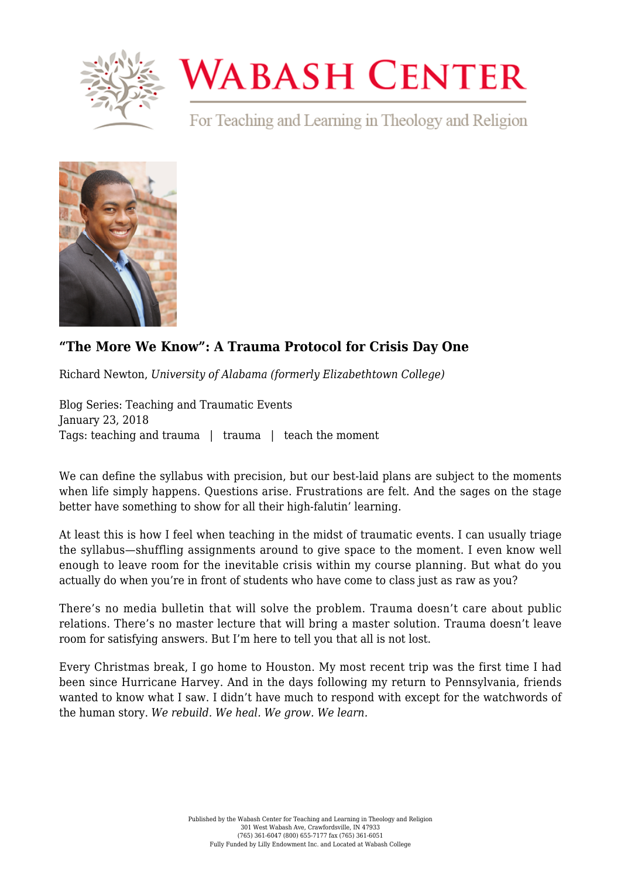

## **WABASH CENTER**

For Teaching and Learning in Theology and Religion



## **["The More We Know": A Trauma Protocol for Crisis Day One](https://www.wabashcenter.wabash.edu/2018/01/know-trauma-protocol-crisis-day-one/)**

Richard Newton, *University of Alabama (formerly Elizabethtown College)*

Blog Series: Teaching and Traumatic Events January 23, 2018 Tags: teaching and trauma | trauma | teach the moment

We can define the syllabus with precision, but our best-laid plans are subject to the moments when life simply happens. Questions arise. Frustrations are felt. And the sages on the stage better have something to show for all their high-falutin' learning.

At least this is how I feel when teaching in the midst of traumatic events. I can usually triage the syllabus—shuffling assignments around to give space to the moment. I even know well enough to leave room for the inevitable crisis within my course planning. But what do you actually do when you're in front of students who have come to class just as raw as you?

There's no media bulletin that will solve the problem. Trauma doesn't care about public relations. There's no master lecture that will bring a master solution. Trauma doesn't leave room for satisfying answers. But I'm here to tell you that all is not lost.

Every Christmas break, I go home to Houston. My most recent trip was the first time I had been since Hurricane Harvey. And in the days following my return to Pennsylvania, friends wanted to know what I saw. I didn't have much to respond with except for the watchwords of the human story. *We rebuild. We heal. We grow. We learn.*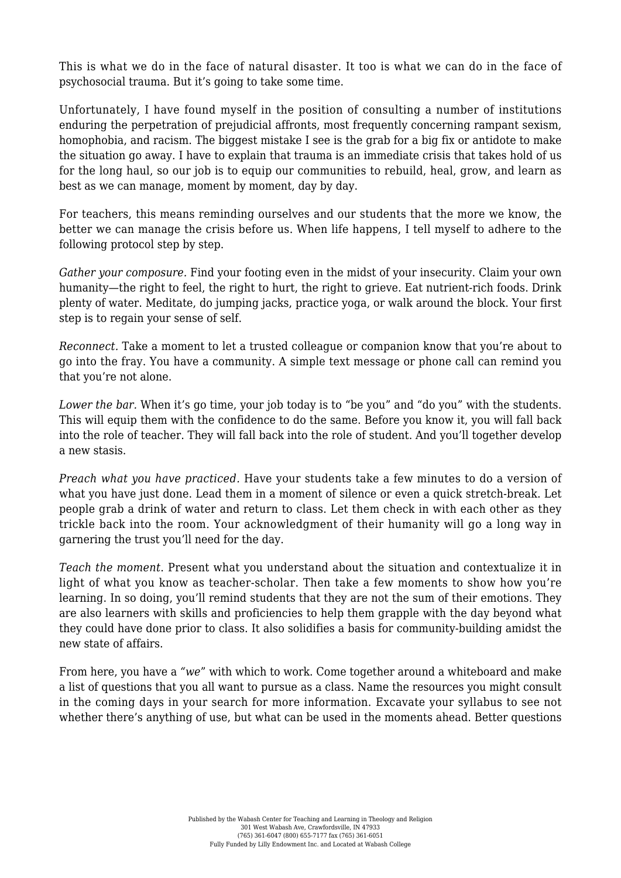This is what we do in the face of natural disaster. It too is what we can do in the face of psychosocial trauma. But it's going to take some time.

Unfortunately, I have found myself in the position of consulting a number of institutions enduring the perpetration of prejudicial affronts, most frequently concerning rampant sexism, homophobia, and racism. The biggest mistake I see is the grab for a big fix or antidote to make the situation go away. I have to explain that trauma is an immediate crisis that takes hold of us for the long haul, so our job is to equip our communities to rebuild, heal, grow, and learn as best as we can manage, moment by moment, day by day.

For teachers, this means reminding ourselves and our students that the more we know, the better we can manage the crisis before us. When life happens, I tell myself to adhere to the following protocol step by step.

*Gather your composure.* Find your footing even in the midst of your insecurity. Claim your own humanity—the right to feel, the right to hurt, the right to grieve. Eat nutrient-rich foods. Drink plenty of water. Meditate, do jumping jacks, practice yoga, or walk around the block. Your first step is to regain your sense of self.

*Reconnect.* Take a moment to let a trusted colleague or companion know that you're about to go into the fray. You have a community. A simple text message or phone call can remind you that you're not alone.

*Lower the bar.* When it's go time, your job today is to "be you" and "do you" with the students. This will equip them with the confidence to do the same. Before you know it, you will fall back into the role of teacher. They will fall back into the role of student. And you'll together develop a new stasis.

*Preach what you have practiced.* Have your students take a few minutes to do a version of what you have just done. Lead them in a moment of silence or even a quick stretch-break. Let people grab a drink of water and return to class. Let them check in with each other as they trickle back into the room. Your acknowledgment of their humanity will go a long way in garnering the trust you'll need for the day.

*Teach the moment*. Present what you understand about the situation and contextualize it in light of what you know as teacher-scholar. Then take a few moments to show how you're learning. In so doing, you'll remind students that they are not the sum of their emotions. They are also learners with skills and proficiencies to help them grapple with the day beyond what they could have done prior to class. It also solidifies a basis for community-building amidst the new state of affairs.

From here, you have a *"we*" with which to work. Come together around a whiteboard and make a list of questions that you all want to pursue as a class. Name the resources you might consult in the coming days in your search for more information. Excavate your syllabus to see not whether there's anything of use, but what can be used in the moments ahead. Better questions